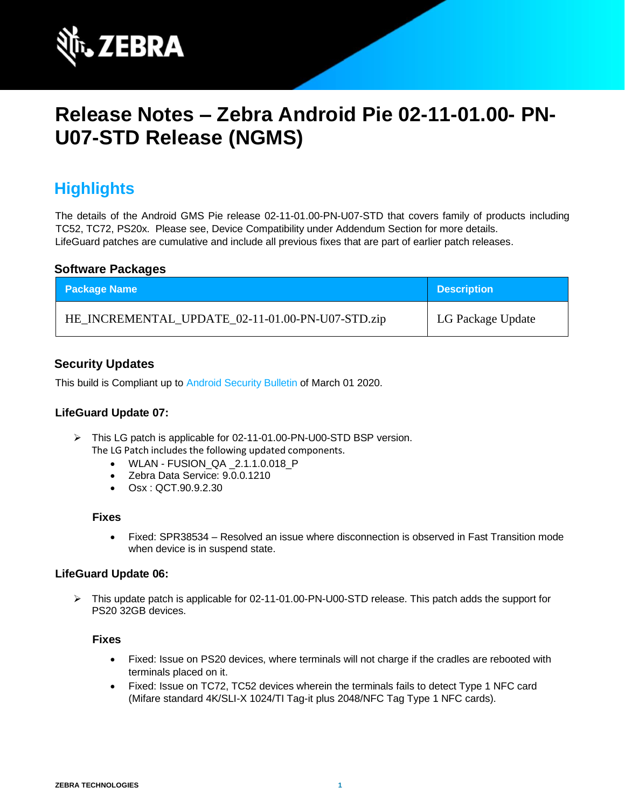

# **Release Notes – Zebra Android Pie 02-11-01.00- PN-U07-STD Release (NGMS)**

## **Highlights**

The details of the Android GMS Pie release 02-11-01.00-PN-U07-STD that covers family of products including TC52, TC72, PS20x. Please see, Device Compatibility under Addendum Section for more details. LifeGuard patches are cumulative and include all previous fixes that are part of earlier patch releases.

### **Software Packages**

| <b>Package Name</b>                              | <b>Description</b> |
|--------------------------------------------------|--------------------|
| HE_INCREMENTAL_UPDATE_02-11-01.00-PN-U07-STD.zip | LG Package Update  |

### **Security Updates**

This build is Compliant up to [Android Security Bulletin](https://source.android.com/security/bulletin/) of March 01 2020.

### **LifeGuard Update 07:**

- ➢ This LG patch is applicable for 02-11-01.00-PN-U00-STD BSP version. The LG Patch includes the following updated components.
	- WLAN FUSION\_QA \_2.1.1.0.018\_P
	- Zebra Data Service: 9.0.0.1210
	- Osx : QCT.90.9.2.30

#### **Fixes**

• Fixed: SPR38534 – Resolved an issue where disconnection is observed in Fast Transition mode when device is in suspend state.

### **LifeGuard Update 06:**

➢ This update patch is applicable for 02-11-01.00-PN-U00-STD release. This patch adds the support for PS20 32GB devices.

#### **Fixes**

- Fixed: Issue on PS20 devices, where terminals will not charge if the cradles are rebooted with terminals placed on it.
- Fixed: Issue on TC72, TC52 devices wherein the terminals fails to detect Type 1 NFC card (Mifare standard 4K/SLI-X 1024/TI Tag-it plus 2048/NFC Tag Type 1 NFC cards).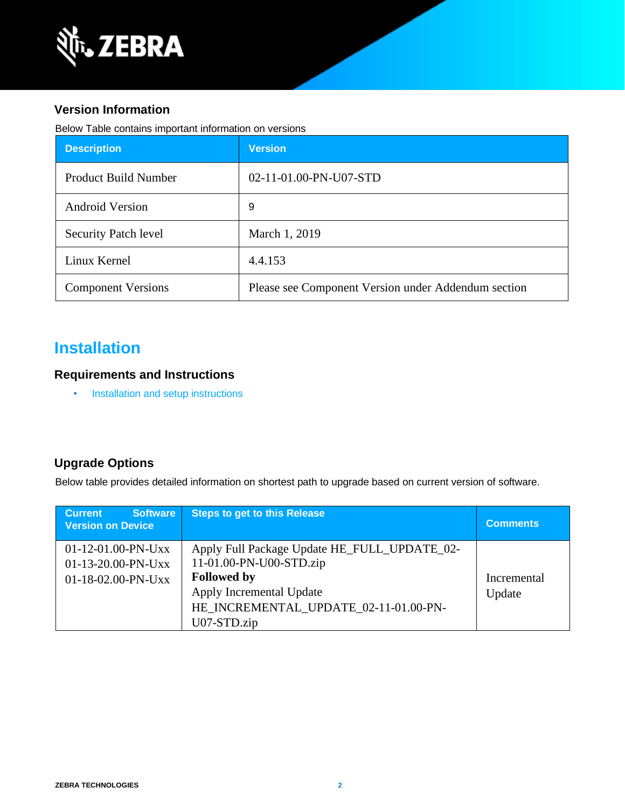

### **Version Information**

Below Table contains important information on versions

| <b>Description</b>          | <b>Version</b>                                      |
|-----------------------------|-----------------------------------------------------|
| <b>Product Build Number</b> | 02-11-01.00-PN-U07-STD                              |
| <b>Android Version</b>      | 9                                                   |
| <b>Security Patch level</b> | March 1, 2019                                       |
| Linux Kernel                | 4.4.153                                             |
| <b>Component Versions</b>   | Please see Component Version under Addendum section |

## **Installation**

### **Requirements and Instructions**

• [Installation and setup instructions](https://www.zebra.com/content/dam/zebra_new_ia/en-us/software/operating-system/helios/oreo-os-update-instructions.pdf)

## **Upgrade Options**

Below table provides detailed information on shortest path to upgrade based on current version of software.

| <b>Software</b><br><b>Current</b><br><b>Version on Device</b>      | <b>Steps to get to this Release</b>                                                                                                                                               | <b>Comments</b>       |
|--------------------------------------------------------------------|-----------------------------------------------------------------------------------------------------------------------------------------------------------------------------------|-----------------------|
| $01-12-01.00-PN-UXX$<br>$01-13-20.00-PN-UXX$<br>01-18-02.00-PN-Uxx | Apply Full Package Update HE_FULL_UPDATE_02-<br>11-01.00-PN-U00-STD.zip<br><b>Followed by</b><br>Apply Incremental Update<br>HE_INCREMENTAL_UPDATE_02-11-01.00-PN-<br>U07-STD.zip | Incremental<br>Update |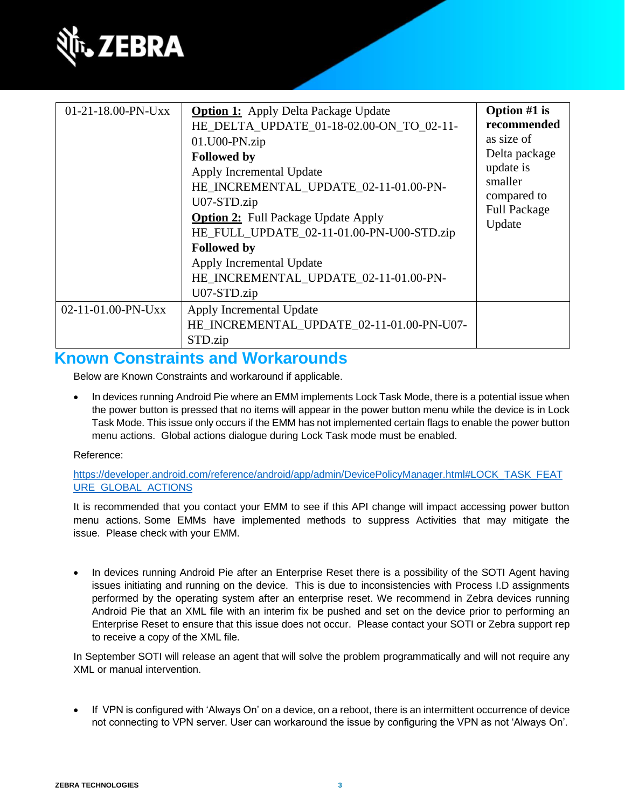

| 01-21-18.00-PN-Uxx | <b>Option 1:</b> Apply Delta Package Update<br>HE_DELTA_UPDATE_01-18-02.00-ON_TO_02-11-<br>$01.U00-PN,zip$<br><b>Followed by</b><br>Apply Incremental Update<br>HE_INCREMENTAL_UPDATE_02-11-01.00-PN-<br>U07-STD.zip<br><b>Option 2:</b> Full Package Update Apply<br>HE_FULL_UPDATE_02-11-01.00-PN-U00-STD.zip<br><b>Followed by</b><br>Apply Incremental Update<br>HE_INCREMENTAL_UPDATE_02-11-01.00-PN-<br>U07-STD.zip | Option $#1$ is<br>recommended<br>as size of<br>Delta package<br>update is<br>smaller<br>compared to<br><b>Full Package</b><br>Update |
|--------------------|---------------------------------------------------------------------------------------------------------------------------------------------------------------------------------------------------------------------------------------------------------------------------------------------------------------------------------------------------------------------------------------------------------------------------|--------------------------------------------------------------------------------------------------------------------------------------|
| 02-11-01.00-PN-Uxx | Apply Incremental Update<br>HE_INCREMENTAL_UPDATE_02-11-01.00-PN-U07-<br>STD.zip                                                                                                                                                                                                                                                                                                                                          |                                                                                                                                      |

## **Known Constraints and Workarounds**

Below are Known Constraints and workaround if applicable.

In devices running Android Pie where an EMM implements Lock Task Mode, there is a potential issue when the power button is pressed that no items will appear in the power button menu while the device is in Lock Task Mode. This issue only occurs if the EMM has not implemented certain flags to enable the power button menu actions. Global actions dialogue during Lock Task mode must be enabled.

#### Reference:

[https://developer.android.com/reference/android/app/admin/DevicePolicyManager.html#LOCK\\_TASK\\_FEAT](https://developer.android.com/reference/android/app/admin/DevicePolicyManager.html#LOCK_TASK_FEATURE_GLOBAL_ACTIONS) [URE\\_GLOBAL\\_ACTIONS](https://developer.android.com/reference/android/app/admin/DevicePolicyManager.html#LOCK_TASK_FEATURE_GLOBAL_ACTIONS)

It is recommended that you contact your EMM to see if this API change will impact accessing power button menu actions. Some EMMs have implemented methods to suppress Activities that may mitigate the issue. Please check with your EMM.

In devices running Android Pie after an Enterprise Reset there is a possibility of the SOTI Agent having issues initiating and running on the device. This is due to inconsistencies with Process I.D assignments performed by the operating system after an enterprise reset. We recommend in Zebra devices running Android Pie that an XML file with an interim fix be pushed and set on the device prior to performing an Enterprise Reset to ensure that this issue does not occur. Please contact your SOTI or Zebra support rep to receive a copy of the XML file.

In September SOTI will release an agent that will solve the problem programmatically and will not require any XML or manual intervention.

If VPN is configured with 'Always On' on a device, on a reboot, there is an intermittent occurrence of device not connecting to VPN server. User can workaround the issue by configuring the VPN as not 'Always On'.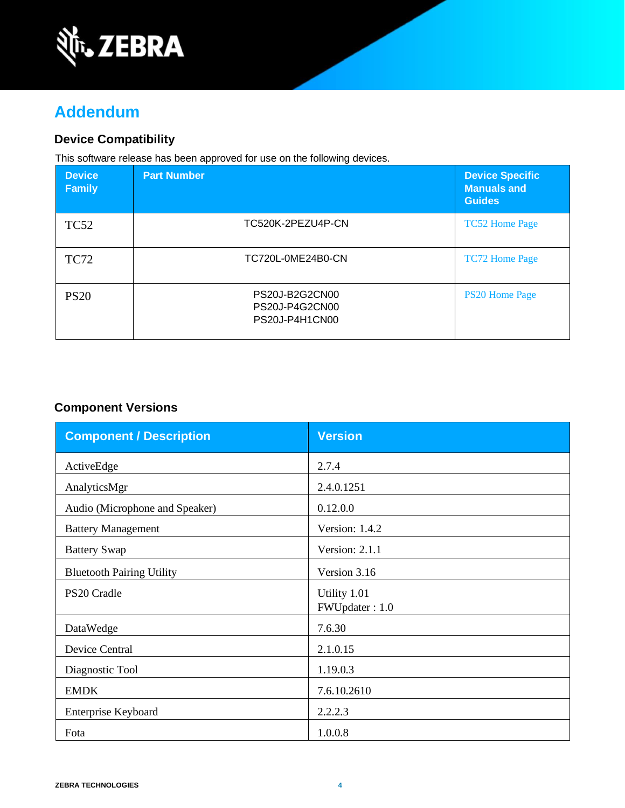

## **Addendum**

### **Device Compatibility**

This software release has been approved for use on the following devices.

| <b>Device</b><br><b>Family</b> | <b>Part Number</b>                                 | <b>Device Specific</b><br><b>Manuals and</b><br><b>Guides</b> |
|--------------------------------|----------------------------------------------------|---------------------------------------------------------------|
| <b>TC52</b>                    | TC520K-2PEZU4P-CN                                  | <b>TC52 Home Page</b>                                         |
| <b>TC72</b>                    | TC720L-0ME24B0-CN                                  | <b>TC72 Home Page</b>                                         |
| <b>PS20</b>                    | PS20J-B2G2CN00<br>PS20J-P4G2CN00<br>PS20J-P4H1CN00 | <b>PS20 Home Page</b>                                         |

## **Component Versions**

| <b>Component / Description</b>   | <b>Version</b>                 |
|----------------------------------|--------------------------------|
| ActiveEdge                       | 2.7.4                          |
| AnalyticsMgr                     | 2.4.0.1251                     |
| Audio (Microphone and Speaker)   | 0.12.0.0                       |
| <b>Battery Management</b>        | Version: 1.4.2                 |
| <b>Battery Swap</b>              | Version: 2.1.1                 |
| <b>Bluetooth Pairing Utility</b> | Version 3.16                   |
| PS20 Cradle                      | Utility 1.01<br>FWUpdater: 1.0 |
| DataWedge                        | 7.6.30                         |
| <b>Device Central</b>            | 2.1.0.15                       |
| Diagnostic Tool                  | 1.19.0.3                       |
| <b>EMDK</b>                      | 7.6.10.2610                    |
| Enterprise Keyboard              | 2.2.2.3                        |
| Fota                             | 1.0.0.8                        |